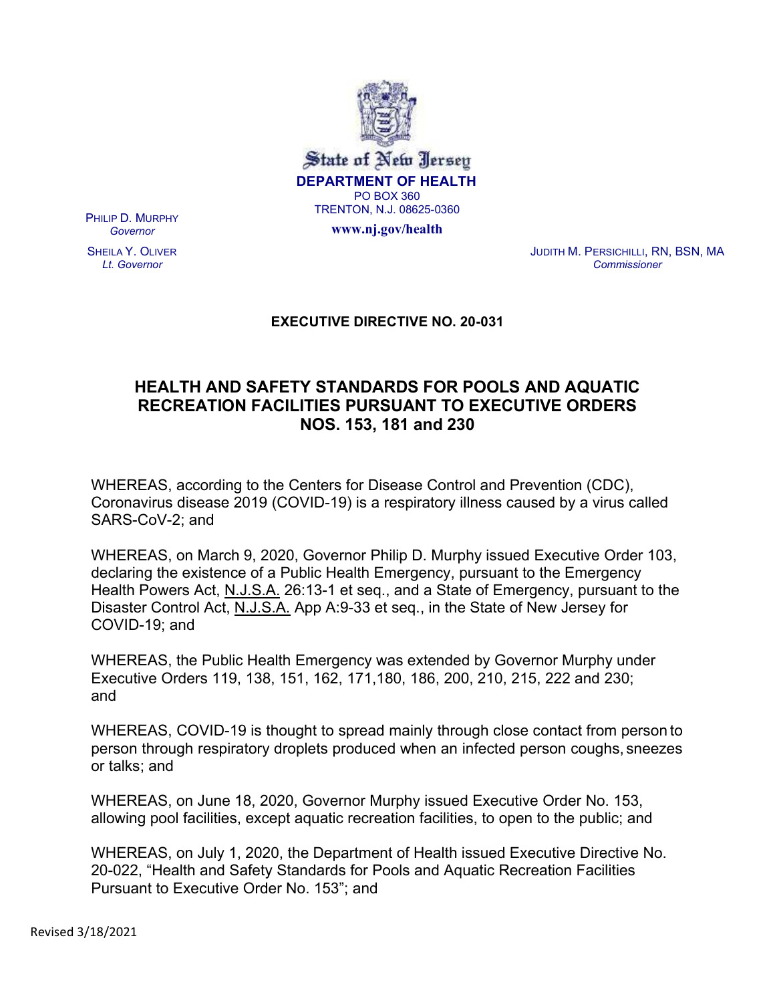

State of New Jersey DEPARTMENT OF HEALTH PO BOX 360 TRENTON, N.J. 08625-0360

www.nj.gov/health

PHILIP D. MURPHY **Governor** 

SHEILA Y. OLIVER Lt. Governor

JUDITH M. PERSICHILLI, RN, BSN, MA **Commissioner** 

## EXECUTIVE DIRECTIVE NO. 20-031

## HEALTH AND SAFETY STANDARDS FOR POOLS AND AQUATIC RECREATION FACILITIES PURSUANT TO EXECUTIVE ORDERS NOS. 153, 181 and 230

WHEREAS, according to the Centers for Disease Control and Prevention (CDC), Coronavirus disease 2019 (COVID-19) is a respiratory illness caused by a virus called SARS-CoV-2; and

WHEREAS, on March 9, 2020, Governor Philip D. Murphy issued Executive Order 103, declaring the existence of a Public Health Emergency, pursuant to the Emergency Health Powers Act, N.J.S.A. 26:13-1 et seq., and a State of Emergency, pursuant to the Disaster Control Act, N.J.S.A. App A:9-33 et seq., in the State of New Jersey for COVID-19; and

WHEREAS, the Public Health Emergency was extended by Governor Murphy under Executive Orders 119, 138, 151, 162, 171,180, 186, 200, 210, 215, 222 and 230; and

WHEREAS, COVID-19 is thought to spread mainly through close contact from person to person through respiratory droplets produced when an infected person coughs, sneezes or talks; and

WHEREAS, on June 18, 2020, Governor Murphy issued Executive Order No. 153, allowing pool facilities, except aquatic recreation facilities, to open to the public; and

WHEREAS, on July 1, 2020, the Department of Health issued Executive Directive No. 20-022, "Health and Safety Standards for Pools and Aquatic Recreation Facilities Pursuant to Executive Order No. 153"; and